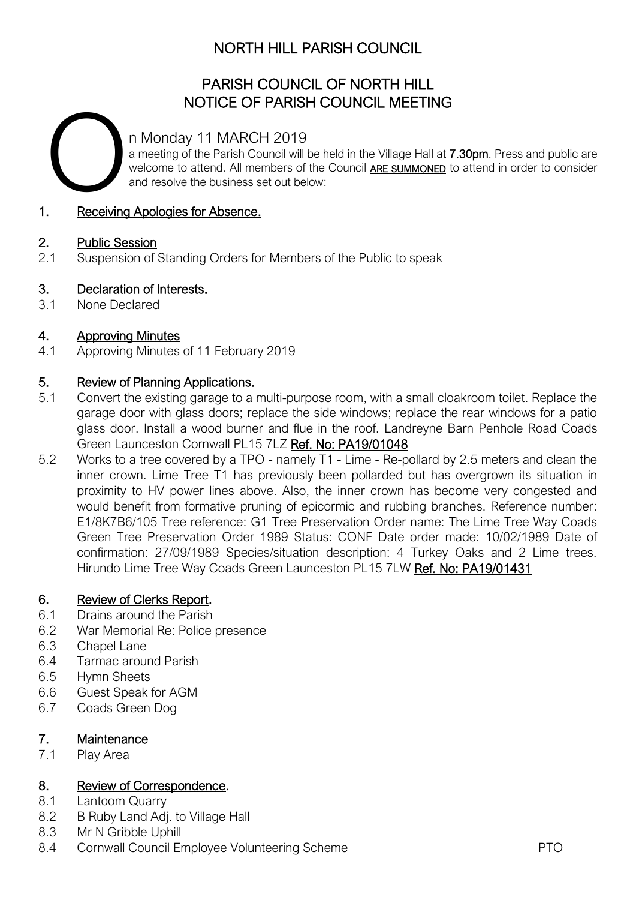### NORTH HILL PARISH COUNCIL

### PARISH COUNCIL OF NORTH HILL NOTICE OF PARISH COUNCIL MEETING

n Monday 11 MARCH 2019

a meeting of the Parish Council will be held in the Village Hall at 7.30pm. Press and public are welcome to attend. All members of the Council **ARE SUMMONED** to attend in order to consider and resolve the business set out below: n Mc<br>a mee<br>welco<br>and re

#### 1. Receiving Apologies for Absence.

#### 2. Public Session

2.1 Suspension of Standing Orders for Members of the Public to speak

#### 3. Declaration of Interests.

3.1 None Declared

#### 4. Approving Minutes

4.1 Approving Minutes of 11 February 2019

#### 5. Review of Planning Applications.

- 5.1 Convert the existing garage to a multi-purpose room, with a small cloakroom toilet. Replace the garage door with glass doors; replace the side windows; replace the rear windows for a patio glass door. Install a wood burner and flue in the roof. Landreyne Barn Penhole Road Coads Green Launceston Cornwall PL15 7LZ Ref. No: PA19/01048
- 5.2 Works to a tree covered by a TPO namely T1 Lime Re-pollard by 2.5 meters and clean the inner crown. Lime Tree T1 has previously been pollarded but has overgrown its situation in proximity to HV power lines above. Also, the inner crown has become very congested and would benefit from formative pruning of epicormic and rubbing branches. Reference number: E1/8K7B6/105 Tree reference: G1 Tree Preservation Order name: The Lime Tree Way Coads Green Tree Preservation Order 1989 Status: CONF Date order made: 10/02/1989 Date of confirmation: 27/09/1989 Species/situation description: 4 Turkey Oaks and 2 Lime trees. Hirundo Lime Tree Way Coads Green Launceston PL15 7LW Ref. No: PA19/01431

#### 6. Review of Clerks Report.

- 6.1 Drains around the Parish
- 6.2 War Memorial Re: Police presence
- 6.3 Chapel Lane
- 6.4 Tarmac around Parish
- 6.5 Hymn Sheets
- 6.6 Guest Speak for AGM
- 6.7 Coads Green Dog

#### 7. Maintenance

7.1 Play Area

#### 8. Review of Correspondence.

- 8.1 Lantoom Quarry
- 8.2 B Ruby Land Adj. to Village Hall
- 8.3 Mr N Gribble Uphill
- 8.4 Cornwall Council Employee Volunteering Scheme **PTO**